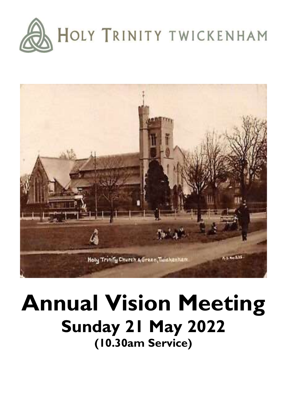



# **Annual Vision Meeting Sunday 21 May 2022 (10.30am Service)**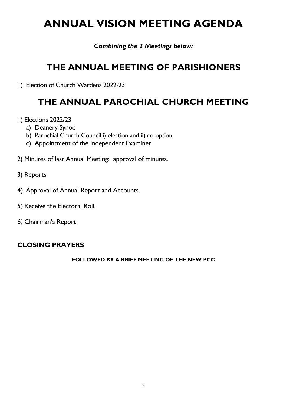## **ANNUAL VISION MEETING AGENDA**

*Combining the 2 Meetings below:*

### **THE ANNUAL MEETING OF PARISHIONERS**

1) Election of Church Wardens 2022-23

### **THE ANNUAL PAROCHIAL CHURCH MEETING**

- 1) Elections 2022/23
	- a) Deanery Synod
	- b) Parochial Church Council i) election and ii) co-option
	- c) Appointment of the Independent Examiner
- 2) Minutes of last Annual Meeting: approval of minutes.
- 3) Reports
- 4) Approval of Annual Report and Accounts.
- 5) Receive the Electoral Roll.
- *6)* Chairman's Report

#### **CLOSING PRAYERS**

#### **FOLLOWED BY A BRIEF MEETING OF THE NEW PCC**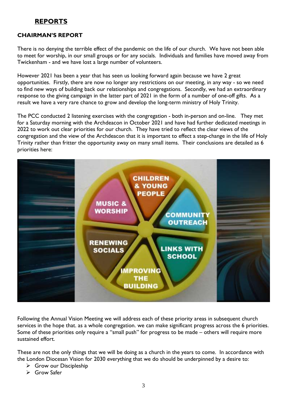#### **REPORTS**

#### **CHAIRMAN'S REPORT**

There is no denying the terrible effect of the pandemic on the life of our church. We have not been able to meet for worship, in our small groups or for any socials. Individuals and families have moved away from Twickenham - and we have lost a large number of volunteers.

However 2021 has been a year that has seen us looking forward again because we have 2 great opportunities. Firstly, there are now no longer any restrictions on our meeting, in any way - so we need to find new ways of building back our relationships and congregations. Secondly, we had an extraordinary response to the giving campaign in the latter part of 2021 in the form of a number of one-off gifts. As a result we have a very rare chance to grow and develop the long-term ministry of Holy Trinity.

The PCC conducted 2 listening exercises with the congregation - both in-person and on-line. They met for a Saturday morning with the Archdeacon in October 2021 and have had further dedicated meetings in 2022 to work out clear priorities for our church. They have tried to reflect the clear views of the congregation and the view of the Archdeacon that it is important to effect a step-change in the life of Holy Trinity rather than fritter the opportunity away on many small items. Their conclusions are detailed as 6 priorities here:



Following the Annual Vision Meeting we will address each of these priority areas in subsequent church services in the hope that. as a whole congregation. we can make significant progress across the 6 priorities. Some of these priorities only require a "small push" for progress to be made – others will require more sustained effort.

These are not the only things that we will be doing as a church in the years to come. In accordance with the London Diocesan Vision for 2030 everything that we do should be underpinned by a desire to:

- ➢ Grow our Discipleship
- ➢ Grow Safer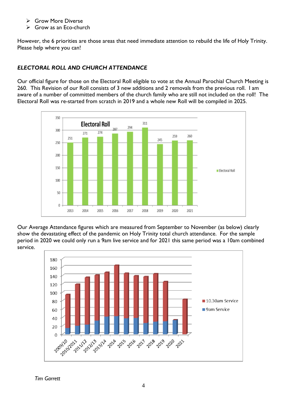- ➢ Grow More Diverse
- ➢ Grow as an Eco-church

However, the 6 priorities are those areas that need immediate attention to rebuild the life of Holy Trinity. Please help where you can!

#### *ELECTORAL ROLL AND CHURCH ATTENDANCE*

Our official figure for those on the Electoral Roll eligible to vote at the Annual Parochial Church Meeting is 260. This Revision of our Roll consists of 3 new additions and 2 removals from the previous roll. I am aware of a number of committed members of the church family who are still not included on the roll! The Electoral Roll was re-started from scratch in 2019 and a whole new Roll will be compiled in 2025.



Our Average Attendance figures which are measured from September to November (as below) clearly show the devastating effect of the pandemic on Holy Trinity total church attendance. For the sample period in 2020 we could only run a 9am live service and for 2021 this same period was a 10am combined service.



*Tim Garrett*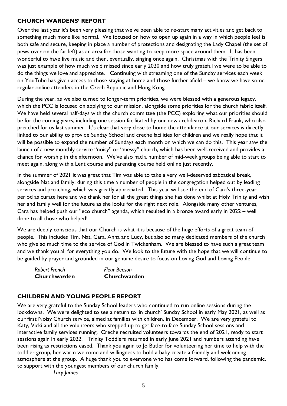#### **CHURCH WARDENS' REPORT**

Over the last year it's been very pleasing that we've been able to re-start many activities and get back to something much more like normal. We focused on how to open up again in a way in which people feel is both safe and secure, keeping in place a number of protections and designating the Lady Chapel (the set of pews over on the far left) as an area for those wanting to keep more space around them. It has been wonderful to have live music and then, eventually, singing once again. Christmas with the Trinity Singers was just example of how much we'd missed since early 2020 and how truly grateful we were to be able to do the things we love and appreciate. Continuing with streaming one of the Sunday services each week on YouTube has given access to those staying at home and those further afield – we know we have some regular online attenders in the Czech Republic and Hong Kong.

During the year, as we also turned to longer-term priorities, we were blessed with a generous legacy, which the PCC is focused on applying to our mission, alongside some priorities for the church fabric itself. We have held several half-days with the church committee (the PCC) exploring what our priorities should be for the coming years, including one session facilitated by our new archdeacon, Richard Frank, who also preached for us last summer. It's clear that very close to home the attendance at our services is directly linked to our ability to provide Sunday School and creche facilities for children and we really hope that it will be possible to expand the number of Sundays each month on which we can do this. This year saw the launch of a new monthly service "noisy" or "messy" church, which has been well-received and provides a chance for worship in the afternoon. We've also had a number of mid-week groups being able to start to meet again, along with a Lent course and parenting course held online just recently.

In the summer of 2021 it was great that Tim was able to take a very well-deserved sabbatical break, alongside Nat and family; during this time a number of people in the congregation helped out by leading services and preaching, which was greatly appreciated. This year will see the end of Cara's three-year period as curate here and we thank her for all the great things she has done whilst at Holy Trinity and wish her and family well for the future as she looks for the right next role. Alongside many other ventures, Cara has helped push our "eco church" agenda, which resulted in a bronze award early in 2022 – well done to all those who helped!

We are deeply conscious that our Church is what it is because of the huge efforts of a great team of people. This includes Tim, Nat, Cara, Anna and Lucy, but also so many dedicated members of the church who give so much time to the service of God in Twickenham. We are blessed to have such a great team and we thank you all for everything you do. We look to the future with the hope that we will continue to be guided by prayer and grounded in our genuine desire to focus on Loving God and Loving People.

| <b>Robert French</b><br>Churchwarden | <b>Fleur Beeson</b> |
|--------------------------------------|---------------------|
|                                      | Churchwarden        |

#### **CHILDREN AND YOUNG PEOPLE REPORT**

We are very grateful to the Sunday School leaders who continued to run online sessions during the lockdowns. We were delighted to see a return to 'in church' Sunday School in early May 2021, as well as our first Noisy Church service, aimed at families with children, in December. We are very grateful to Katy, Vicki and all the volunteers who stepped up to get face-to-face Sunday School sessions and interactive family services running. Creche recruited volunteers towards the end of 2021, ready to start sessions again in early 2022. Trinity Toddlers returned in early June 2021 and numbers attending have been rising as restrictions eased. Thank you again to Jo Butler for volunteering her time to help with the toddler group, her warm welcome and willingness to hold a baby create a friendly and welcoming atmosphere at the group. A huge thank you to everyone who has come forward, following the pandemic, to support with the youngest members of our church family.

*Lucy James*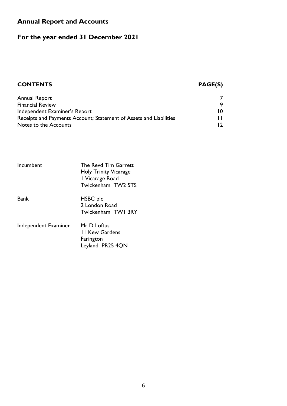### **Annual Report and Accounts**

### **For the year ended 31 December 2021**

### **CONTENTS PAGE(S)**

| Annual Report                                                      |                |
|--------------------------------------------------------------------|----------------|
| <b>Financial Review</b>                                            | 9              |
| Independent Examiner's Report                                      | 10             |
| Receipts and Payments Account; Statement of Assets and Liabilities |                |
| Notes to the Accounts                                              | $\overline{2}$ |

| Incumbent            | The Revd Tim Garrett<br><b>Holy Trinity Vicarage</b><br>I Vicarage Road<br>Twickenham TW2 5TS |
|----------------------|-----------------------------------------------------------------------------------------------|
| Bank                 | HSBC plc<br>2 London Road<br>Twickenham TWI 3RY                                               |
| Independent Examiner | Mr D Loftus<br><b>11 Kew Gardens</b><br>Farington<br>Leyland PR25 4QN                         |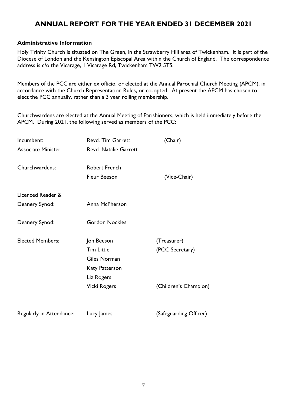### **ANNUAL REPORT FOR THE YEAR ENDED 31 DECEMBER 2021**

#### **Administrative Information**

Holy Trinity Church is situated on The Green, in the Strawberry Hill area of Twickenham. It is part of the Diocese of London and the Kensington Episcopal Area within the Church of England. The correspondence address is c/o the Vicarage, 1 Vicarage Rd, Twickenham TW2 5TS.

Members of the PCC are either ex officio, or elected at the Annual Parochial Church Meeting (APCM), in accordance with the Church Representation Rules, or co-opted. At present the APCM has chosen to elect the PCC annually, rather than a 3 year rolling membership.

Churchwardens are elected at the Annual Meeting of Parishioners, which is held immediately before the APCM. During 2021, the following served as members of the PCC:

| Incumbent:                | <b>Revd. Tim Garrett</b>     | (Chair)               |
|---------------------------|------------------------------|-----------------------|
| <b>Associate Minister</b> | <b>Revd. Natalie Garrett</b> |                       |
| Churchwardens:            | <b>Robert French</b>         |                       |
|                           | <b>Fleur Beeson</b>          | (Vice-Chair)          |
| Licenced Reader &         |                              |                       |
| Deanery Synod:            | Anna McPherson               |                       |
| Deanery Synod:            | <b>Gordon Nockles</b>        |                       |
| <b>Elected Members:</b>   | Jon Beeson                   | (Treasurer)           |
|                           | <b>Tim Little</b>            | (PCC Secretary)       |
|                           | Giles Norman                 |                       |
|                           | <b>Katy Patterson</b>        |                       |
|                           | Liz Rogers                   |                       |
|                           | <b>Vicki Rogers</b>          | (Children's Champion) |
|                           |                              |                       |

| Regularly in Attendance:<br>Lucy James | (Safeguarding Officer) |
|----------------------------------------|------------------------|
|----------------------------------------|------------------------|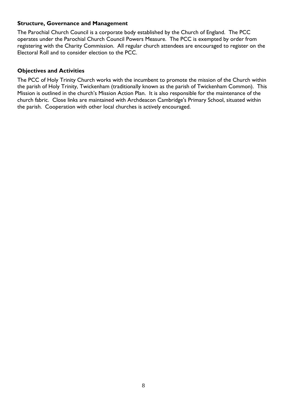#### **Structure, Governance and Management**

The Parochial Church Council is a corporate body established by the Church of England. The PCC operates under the Parochial Church Council Powers Measure. The PCC is exempted by order from registering with the Charity Commission. All regular church attendees are encouraged to register on the Electoral Roll and to consider election to the PCC.

#### **Objectives and Activities**

The PCC of Holy Trinity Church works with the incumbent to promote the mission of the Church within the parish of Holy Trinity, Twickenham (traditionally known as the parish of Twickenham Common). This Mission is outlined in the church's Mission Action Plan. It is also responsible for the maintenance of the church fabric. Close links are maintained with Archdeacon Cambridge's Primary School, situated within the parish. Cooperation with other local churches is actively encouraged.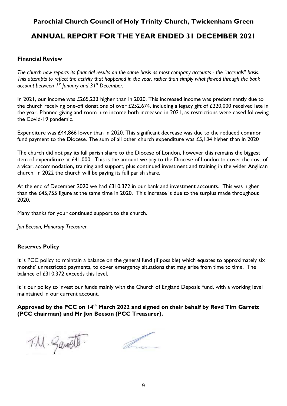### **Parochial Church Council of Holy Trinity Church, Twickenham Green ANNUAL REPORT FOR THE YEAR ENDED 31 DECEMBER 2021**

#### **Financial Review**

*The church now reports its financial results on the same basis as most company accounts - the "accruals" basis. This attempts to reflect the activity that happened in the year, rather than simply what flowed through the bank account between 1st January and 31st December.*

In 2021, our income was £265,233 higher than in 2020. This increased income was predominantly due to the church receiving one-off donations of over £252,674, including a legacy gift of £220,000 received late in the year. Planned giving and room hire income both increased in 2021, as restrictions were eased following the Covid-19 pandemic.

Expenditure was £44,866 lower than in 2020. This significant decrease was due to the reduced common fund payment to the Diocese. The sum of all other church expenditure was £5,134 higher than in 2020

The church did not pay its full parish share to the Diocese of London, however this remains the biggest item of expenditure at £41,000. This is the amount we pay to the Diocese of London to cover the cost of a vicar, accommodation, training and support, plus continued investment and training in the wider Anglican church. In 2022 the church will be paying its full parish share.

At the end of December 2020 we had £310,372 in our bank and investment accounts. This was higher than the £45,755 figure at the same time in 2020. This increase is due to the surplus made throughout 2020.

Many thanks for your continued support to the church.

*Jon Beeson, Honorary Treasurer.*

#### **Reserves Policy**

It is PCC policy to maintain a balance on the general fund (if possible) which equates to approximately six months' unrestricted payments, to cover emergency situations that may arise from time to time. The balance of £310,372 exceeds this level.

It is our policy to invest our funds mainly with the Church of England Deposit Fund, with a working level maintained in our current account.

#### **Approved by the PCC on 14th March 2022 and signed on their behalf by Revd Tim Garrett (PCC chairman) and Mr Jon Beeson (PCC Treasurer).**

T.M. Savott.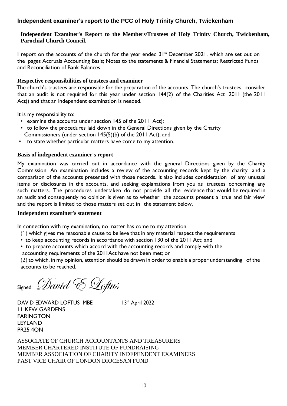#### **Independent examiner's report to the PCC of Holy Trinity Church, Twickenham**

#### **Independent Examiner's Report to the Members/Trustees of Holy Trinity Church, Twickenham, Parochial Church Council.**

I report on the accounts of the church for the year ended 31<sup>st</sup> December 2021, which are set out on the pages Accruals Accounting Basis; Notes to the statements & Financial Statements; Restricted Funds and Reconciliation of Bank Balances.

#### **Respective responsibilities of trustees and examiner**

The church's trustees are responsible for the preparation of the accounts. The church's trustees consider that an audit is not required for this year under section 144(2) of the Charities Act 2011 (the 2011 Act)) and that an independent examination is needed.

It is my responsibility to:

- examine the accounts under section 145 of the 2011 Act);
- to follow the procedures laid down in the General Directions given by the Charity Commissioners (under section 145(5)(b) of the 2011 Act); and
- to state whether particular matters have come to my attention.

#### **Basis of independent examiner's report**

My examination was carried out in accordance with the general Directions given by the Charity Commission. An examination includes a review of the accounting records kept by the charity and a comparison of the accounts presented with those records. It also includes consideration of any unusual items or disclosures in the accounts, and seeking explanations from you as trustees concerning any such matters. The procedures undertaken do not provide all the evidence that would be required in an audit and consequently no opinion is given as to whether the accounts present a 'true and fair view' and the report is limited to those matters set out in the statement below.

#### **Independent examiner's statement**

In connection with my examination, no matter has come to my attention:

- (1) which gives me reasonable cause to believe that in any material respect the requirements
- to keep accounting records in accordance with section 130 of the 2011 Act; and
- to prepare accounts which accord with the accounting records and comply with the

accounting requirements of the 2011Act have not been met; or

(2) to which, in my opinion, attention should be drawn in order to enable a proper understanding of the accounts to be reached.

Signed: David E Loftus

DAVID EDWARD LOFTUS MBE 13th April 2022 11 KEW GARDENS FARINGTON LEYLAND PR25 4QN

ASSOCIATE OF CHURCH ACCOUNTANTS AND TREASURERS MEMBER CHARTERED INSTITUTE OF FUNDRAISING MEMBER ASSOCIATION OF CHARITY INDEPENDENT EXAMINERS PAST VICE CHAIR OF LONDON DIOCESAN FUND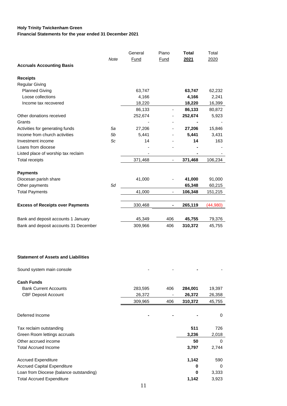#### **Holy Trinity Twickenham Green Financial Statements for the year ended 31 December 2021**

|                                            |             | General | Piano                    | Total   | Total    |
|--------------------------------------------|-------------|---------|--------------------------|---------|----------|
|                                            | <b>Note</b> | Fund    | Fund                     | 2021    | 2020     |
| <b>Accruals Accounting Basis</b>           |             |         |                          |         |          |
| <b>Receipts</b>                            |             |         |                          |         |          |
| <b>Regular Giving</b>                      |             |         |                          |         |          |
| <b>Planned Giving</b>                      |             | 63,747  |                          | 63,747  | 62,232   |
| Loose collections                          |             | 4,166   |                          | 4,166   | 2,241    |
| Income tax recovered                       |             | 18,220  |                          | 18,220  | 16,399   |
|                                            |             | 86,133  |                          | 86,133  | 80,872   |
| Other donations received                   |             | 252,674 |                          | 252,674 | 5,923    |
| Grants                                     |             |         |                          |         |          |
| Activities for generating funds            | 5a          | 27,206  |                          | 27,206  | 15,846   |
| Income from church activities              | 5b          | 5,441   |                          | 5,441   | 3,431    |
| Investment income                          | 5c          | 14      |                          | 14      | 163      |
| Loans from diocese                         |             |         |                          |         |          |
| Listed place of worship tax reclaim        |             |         |                          |         |          |
| <b>Total receipts</b>                      |             | 371,468 | $\overline{\phantom{a}}$ | 371,468 | 106,234  |
|                                            |             |         |                          |         |          |
| <b>Payments</b>                            |             |         |                          |         |          |
| Diocesan parish share                      |             | 41,000  |                          | 41,000  | 91,000   |
| Other payments                             | 5d          |         |                          | 65,348  | 60,215   |
| <b>Total Payments</b>                      |             | 41,000  | $\overline{\phantom{a}}$ | 106,348 | 151,215  |
|                                            |             |         |                          |         |          |
| <b>Excess of Receipts over Payments</b>    |             | 330,468 | -                        | 265,119 | (44,980) |
|                                            |             |         |                          |         |          |
| Bank and deposit accounts 1 January        |             | 45,349  | 406                      | 45,755  | 79,376   |
| Bank and deposit accounts 31 December      |             | 309,966 | 406                      | 310,372 | 45,755   |
|                                            |             |         |                          |         |          |
|                                            |             |         |                          |         |          |
| <b>Statement of Assets and Liabilities</b> |             |         |                          |         |          |
| Sound system main console                  |             |         |                          |         |          |
| <b>Cash Funds</b>                          |             |         |                          |         |          |
| <b>Bank Current Accounts</b>               |             | 283,595 | 406                      | 284,001 | 19,397   |
| <b>CBF Deposit Account</b>                 |             | 26,372  |                          | 26,372  | 26,358   |
|                                            |             | 309,965 | 406                      | 310,372 | 45,755   |
| Deferred Income                            |             |         |                          |         | 0        |
| Tax reclaim outstanding                    |             |         |                          | 511     | 726      |
| Green Room lettings accruals               |             |         |                          | 3,236   | 2,018    |
| Other accrued income                       |             |         |                          | 50      | 0        |
| <b>Total Accrued Income</b>                |             |         |                          | 3,797   | 2,744    |
|                                            |             |         |                          |         |          |
| <b>Accrued Expenditure</b>                 |             |         |                          | 1,142   | 590      |
| <b>Accrued Capital Expenditure</b>         |             |         |                          | 0       | 0        |
| Loan from Diocese (balance outstanding)    |             |         |                          | 0       | 3,333    |

Total Accrued Expenditure **1,142** 3,923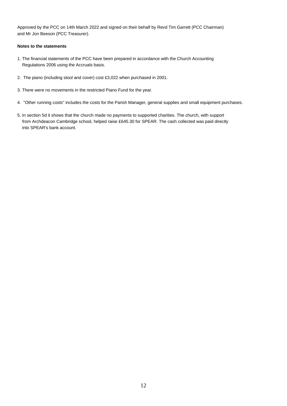Approved by the PCC on 14th March 2022 and signed on their behalf by Revd Tim Garrett (PCC Chairman) and Mr Jon Beeson (PCC Treasurer).

#### **Notes to the statements**

- 1. The financial statements of the PCC have been prepared in accordance with the Church Accounting Regulations 2006 using the Accruals basis.
- 2. The piano (including stool and cover) cost £3,022 when purchased in 2001.
- 3. There were no movements in the restricted Piano Fund for the year.
- 4. "Other running costs" includes the costs for the Parish Manager, general supplies and small equipment purchases.
- 5. In section 5d it shows that the church made no payments to supported charities. The church, with support from Archdeacon Cambridge school, helped raise £645.30 for SPEAR. The cash collected was paid directly into SPEAR's bank account.